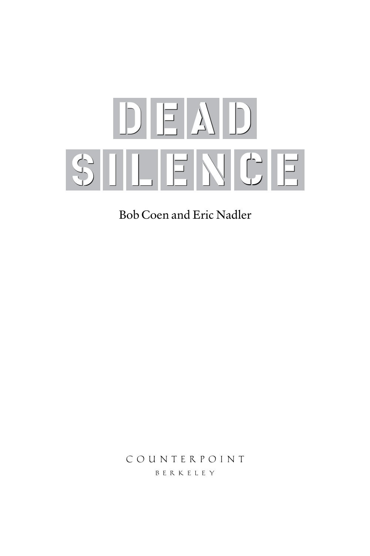

## Bob Coen and Eric Nadler

COUNTERPOINT berkeley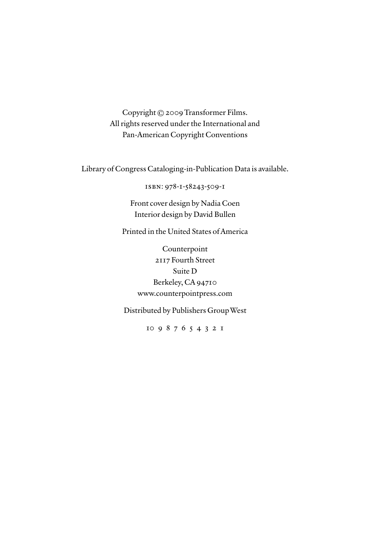Copyright © 2009 Transformer Films. All rights reserved under the International and Pan-American Copyright Conventions

Library of Congress Cataloging-in-Publication Data is available.

isbn: 978-1-58243-509-1

Front cover design by Nadia Coen Interior design by David Bullen

Printed in the United States of America

Counterpoint 2117 Fourth Street Suite D Berkeley, CA 94710 www.counterpointpress.com

Distributed by Publishers Group West

10 9 8 7 6 5 4 3 2 1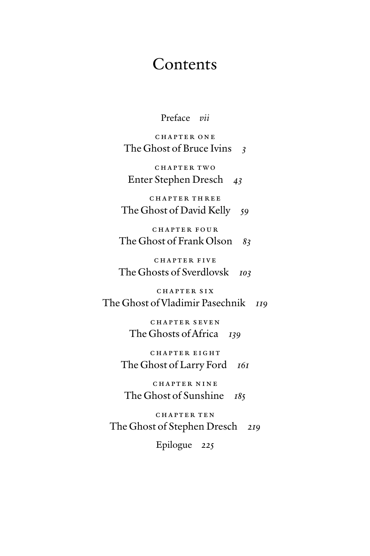## Contents

Preface *vii*

chapter one The Ghost of Bruce Ivins *3*

chapter two Enter Stephen Dresch *43*

chapter three The Ghost of David Kelly *59*

chapter four The Ghost of Frank Olson *83*

chapter five The Ghosts of Sverdlovsk *103*

chapter six The Ghost of Vladimir Pasechnik *119*

> chapter seven The Ghosts of Africa *139*

chapter eight The Ghost of Larry Ford *161*

chapter nine The Ghost of Sunshine *185*

chapter ten The Ghost of Stephen Dresch *219*

Epilogue *225*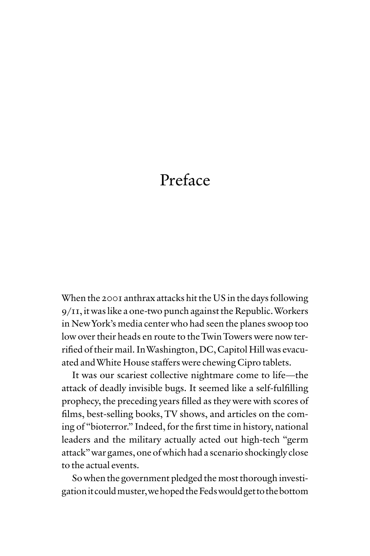# Preface

When the 2001 anthrax attacks hit the US in the days following 9/11, it was like a one-two punch against the Republic. Workers in New York's media center who had seen the planes swoop too low over their heads en route to the Twin Towers were now terrified of their mail. In Washington, DC, Capitol Hill was evacuated and White House staffers were chewing Cipro tablets.

It was our scariest collective nightmare come to life—the attack of deadly invisible bugs. It seemed like a self-fulfilling prophecy, the preceding years filled as they were with scores of films, best-selling books, TV shows, and articles on the coming of "bioterror." Indeed, for the first time in history, national leaders and the military actually acted out high-tech "germ attack" war games, one of which had a scenario shockingly close to the actual events.

So when the government pledged the most thorough investigation it could muster, we hoped the Feds would get to the bottom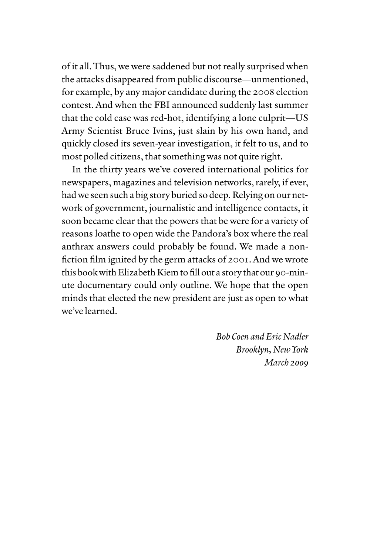of it all. Thus, we were saddened but not really surprised when the attacks disappeared from public discourse—unmentioned, for example, by any major candidate during the 2008 election contest. And when the FBI announced suddenly last summer that the cold case was red-hot, identifying a lone culprit—US Army Scientist Bruce Ivins, just slain by his own hand, and quickly closed its seven-year investigation, it felt to us, and to most polled citizens, that something was not quite right.

In the thirty years we've covered international politics for newspapers, magazines and television networks, rarely, if ever, had we seen such a big story buried so deep. Relying on our network of government, journalistic and intelligence contacts, it soon became clear that the powers that be were for a variety of reasons loathe to open wide the Pandora's box where the real anthrax answers could probably be found. We made a nonfiction film ignited by the germ attacks of 2001. And we wrote this book with Elizabeth Kiem to fill out a story that our 90-minute documentary could only outline. We hope that the open minds that elected the new president are just as open to what we've learned.

> *Bob Coen and Eric Nadler Brooklyn, New York March 2009*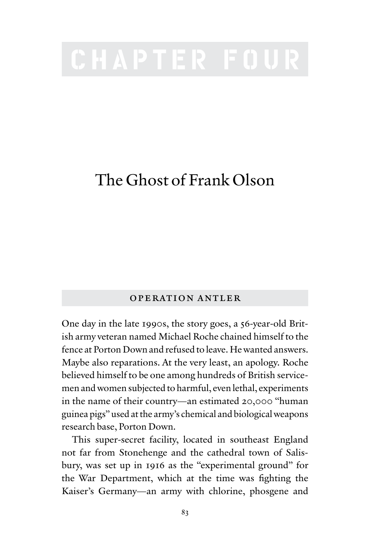# The Ghost of Frank Olson

### operation antler

One day in the late 1990s, the story goes, a 56-year-old British army veteran named Michael Roche chained himself to the fence at Porton Down and refused to leave. He wanted answers. Maybe also reparations. At the very least, an apology. Roche believed himself to be one among hundreds of British servicemen and women subjected to harmful, even lethal, experiments in the name of their country—an estimated 20,000 "human guinea pigs" used at the army's chemical and biological weapons research base, Porton Down.

This super-secret facility, located in southeast England not far from Stonehenge and the cathedral town of Salisbury, was set up in 1916 as the "experimental ground" for the War Department, which at the time was fighting the Kaiser's Germany—an army with chlorine, phosgene and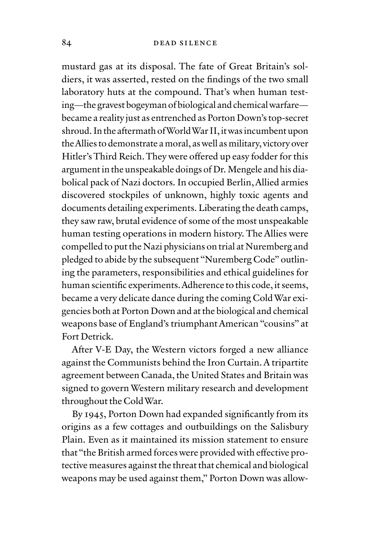mustard gas at its disposal. The fate of Great Britain's soldiers, it was asserted, rested on the findings of the two small laboratory huts at the compound. That's when human testing—the gravest bogeyman of biological and chemical warfare became a reality just as entrenched as Porton Down's top-secret shroud. In the aftermath of World War II, it was incumbent upon the Allies to demonstrate a moral, as well as military, victory over Hitler's Third Reich. They were offered up easy fodder for this argument in the unspeakable doings of Dr. Mengele and his diabolical pack of Nazi doctors. In occupied Berlin, Allied armies discovered stockpiles of unknown, highly toxic agents and documents detailing experiments. Liberating the death camps, they saw raw, brutal evidence of some of the most unspeakable human testing operations in modern history. The Allies were compelled to put the Nazi physicians on trial at Nuremberg and pledged to abide by the subsequent "Nuremberg Code" outlining the parameters, responsibilities and ethical guidelines for human scientific experiments. Adherence to this code, it seems, became a very delicate dance during the coming Cold War exigencies both at Porton Down and at the biological and chemical weapons base of England's triumphant American "cousins" at Fort Detrick.

After V-E Day, the Western victors forged a new alliance against the Communists behind the Iron Curtain. A tripartite agreement between Canada, the United States and Britain was signed to govern Western military research and development throughout the Cold War.

By 1945, Porton Down had expanded significantly from its origins as a few cottages and outbuildings on the Salisbury Plain. Even as it maintained its mission statement to ensure that "the British armed forces were provided with effective protective measures against the threat that chemical and biological weapons may be used against them," Porton Down was allow-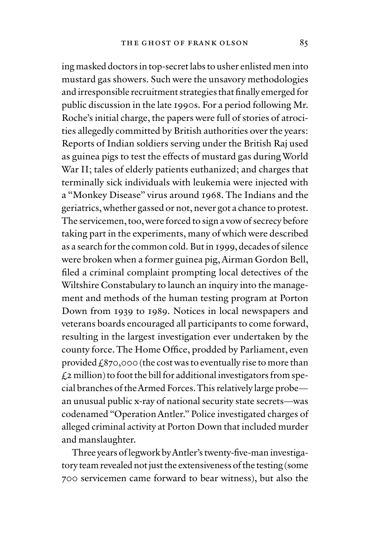ing masked doctors in top-secret labs to usher enlisted men into mustard gas showers. Such were the unsavory methodologies and irresponsible recruitment strategies that finally emerged for public discussion in the late 1990s. For a period following Mr. Roche's initial charge, the papers were full of stories of atrocities allegedly committed by British authorities over the years: Reports of Indian soldiers serving under the British Raj used as guinea pigs to test the effects of mustard gas during World War II; tales of elderly patients euthanized; and charges that terminally sick individuals with leukemia were injected with a "Monkey Disease" virus around 1968. The Indians and the geriatrics, whether gassed or not, never got a chance to protest. The servicemen, too, were forced to sign a vow of secrecy before taking part in the experiments, many of which were described as a search for the common cold. But in 1999, decades of silence were broken when a former guinea pig, Airman Gordon Bell, filed a criminal complaint prompting local detectives of the Wiltshire Constabulary to launch an inquiry into the management and methods of the human testing program at Porton Down from 1939 to 1989. Notices in local newspapers and veterans boards encouraged all participants to come forward, resulting in the largest investigation ever undertaken by the county force. The Home Office, prodded by Parliament, even provided  $£870,000$  (the cost was to eventually rise to more than  $\mathfrak{c}_2$  million) to foot the bill for additional investigators from special branches of the Armed Forces. This relatively large probe an unusual public x-ray of national security state secrets—was codenamed "Operation Antler." Police investigated charges of alleged criminal activity at Porton Down that included murder and manslaughter.

Three years of legwork by Antler's twenty-five-man investigatory team revealed not just the extensiveness of the testing (some 700 servicemen came forward to bear witness), but also the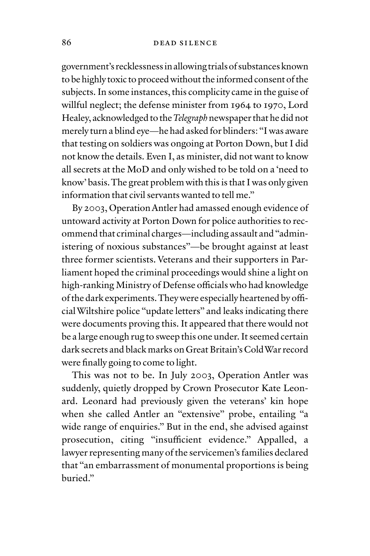government's recklessness in allowing trials of substances known to be highly toxic to proceed without the informed consent of the subjects. In some instances, this complicity came in the guise of willful neglect; the defense minister from 1964 to 1970, Lord Healey, acknowledged to the *Telegraph* newspaper that he did not merely turn a blind eye—he had asked for blinders: "I was aware that testing on soldiers was ongoing at Porton Down, but I did not know the details. Even I, as minister, did not want to know all secrets at the MoD and only wished to be told on a 'need to know' basis. The great problem with this is that I was only given information that civil servants wanted to tell me."

By 2003, Operation Antler had amassed enough evidence of untoward activity at Porton Down for police authorities to recommend that criminal charges—including assault and "administering of noxious substances"—be brought against at least three former scientists. Veterans and their supporters in Parliament hoped the criminal proceedings would shine a light on high-ranking Ministry of Defense officials who had knowledge of the dark experiments. They were especially heartened by official Wiltshire police "update letters" and leaks indicating there were documents proving this. It appeared that there would not be a large enough rug to sweep this one under. It seemed certain dark secrets and black marks on Great Britain's Cold War record were finally going to come to light.

This was not to be. In July 2003, Operation Antler was suddenly, quietly dropped by Crown Prosecutor Kate Leonard. Leonard had previously given the veterans' kin hope when she called Antler an "extensive" probe, entailing "a wide range of enquiries." But in the end, she advised against prosecution, citing "insufficient evidence." Appalled, a lawyer representing many of the servicemen's families declared that "an embarrassment of monumental proportions is being buried."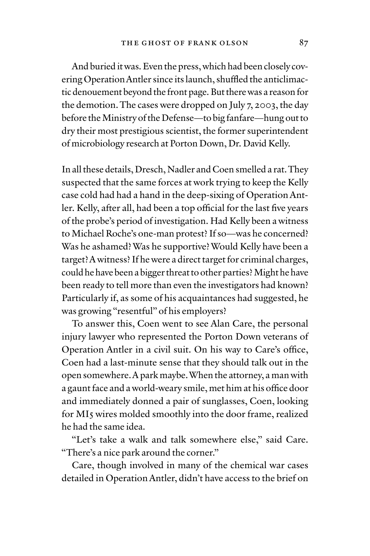And buried it was. Even the press, which had been closely covering Operation Antler since its launch, shuffled the anticlimactic denouement beyond the front page. But there was a reason for the demotion. The cases were dropped on July 7, 2003, the day before the Ministry of the Defense—to big fanfare—hung out to dry their most prestigious scientist, the former superintendent of microbiology research at Porton Down, Dr. David Kelly.

In all these details, Dresch, Nadler and Coen smelled a rat. They suspected that the same forces at work trying to keep the Kelly case cold had had a hand in the deep-sixing of Operation Antler. Kelly, after all, had been a top official for the last five years of the probe's period of investigation. Had Kelly been a witness to Michael Roche's one-man protest? If so—was he concerned? Was he ashamed? Was he supportive? Would Kelly have been a target? A witness? If he were a direct target for criminal charges, could he have been a bigger threat to other parties? Might he have been ready to tell more than even the investigators had known? Particularly if, as some of his acquaintances had suggested, he was growing "resentful" of his employers?

To answer this, Coen went to see Alan Care, the personal injury lawyer who represented the Porton Down veterans of Operation Antler in a civil suit. On his way to Care's office, Coen had a last-minute sense that they should talk out in the open somewhere. A park maybe. When the attorney, a man with a gaunt face and a world-weary smile, met him at his office door and immediately donned a pair of sunglasses, Coen, looking for MI5 wires molded smoothly into the door frame, realized he had the same idea.

"Let's take a walk and talk somewhere else," said Care. "There's a nice park around the corner."

Care, though involved in many of the chemical war cases detailed in Operation Antler, didn't have access to the brief on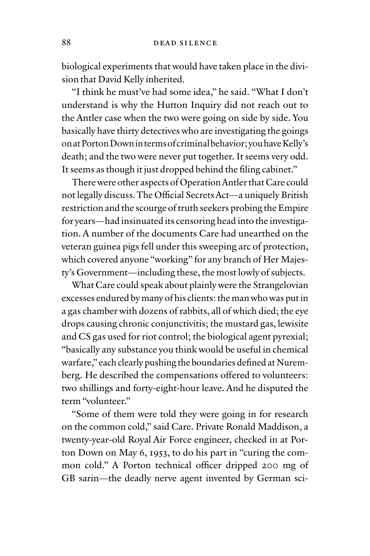biological experiments that would have taken place in the division that David Kelly inherited.

"I think he must've had some idea," he said. "What I don't understand is why the Hutton Inquiry did not reach out to the Antler case when the two were going on side by side. You basically have thirty detectives who are investigating the goings on at Porton Down in terms of criminal behavior; you have Kelly's death; and the two were never put together. It seems very odd. It seems as though it just dropped behind the filing cabinet."

There were other aspects of Operation Antler that Care could not legally discuss. The Official Secrets Act—a uniquely British restriction and the scourge of truth seekers probing the Empire for years—had insinuated its censoring head into the investigation. A number of the documents Care had unearthed on the veteran guinea pigs fell under this sweeping arc of protection, which covered anyone "working" for any branch of Her Majesty's Government—including these, the most lowly of subjects.

What Care could speak about plainly were the Strangelovian excesses endured by many of his clients: the man who was put in a gas chamber with dozens of rabbits, all of which died; the eye drops causing chronic conjunctivitis; the mustard gas, lewisite and CS gas used for riot control; the biological agent pyrexial; "basically any substance you think would be useful in chemical warfare," each clearly pushing the boundaries defined at Nuremberg. He described the compensations offered to volunteers: two shillings and forty-eight-hour leave. And he disputed the term "volunteer."

"Some of them were told they were going in for research on the common cold," said Care. Private Ronald Maddison, a twenty-year-old Royal Air Force engineer, checked in at Porton Down on May 6, 1953, to do his part in "curing the common cold." A Porton technical officer dripped 200 mg of GB sarin—the deadly nerve agent invented by German sci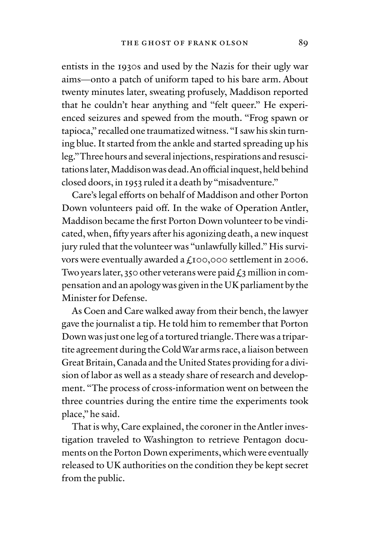entists in the 1930s and used by the Nazis for their ugly war aims—onto a patch of uniform taped to his bare arm. About twenty minutes later, sweating profusely, Maddison reported that he couldn't hear anything and "felt queer." He experienced seizures and spewed from the mouth. "Frog spawn or tapioca," recalled one traumatized witness. "I saw his skin turning blue. It started from the ankle and started spreading up his leg." Three hours and several injections, respirations and resuscitations later, Maddison was dead. An official inquest, held behind closed doors, in 1953 ruled it a death by "misadventure."

Care's legal efforts on behalf of Maddison and other Porton Down volunteers paid off. In the wake of Operation Antler, Maddison became the first Porton Down volunteer to be vindicated, when, fifty years after his agonizing death, a new inquest jury ruled that the volunteer was "unlawfully killed." His survivors were eventually awarded a £100,000 settlement in 2006. Two years later, 350 other veterans were paid  $\mathcal{L}_3$  million in compensation and an apology was given in the UK parliament by the Minister for Defense.

As Coen and Care walked away from their bench, the lawyer gave the journalist a tip. He told him to remember that Porton Down was just one leg of a tortured triangle. There was a tripartite agreement during the Cold War arms race, a liaison between Great Britain, Canada and the United States providing for a division of labor as well as a steady share of research and development. "The process of cross-information went on between the three countries during the entire time the experiments took place," he said.

That is why, Care explained, the coroner in the Antler investigation traveled to Washington to retrieve Pentagon documents on the Porton Down experiments, which were eventually released to UK authorities on the condition they be kept secret from the public.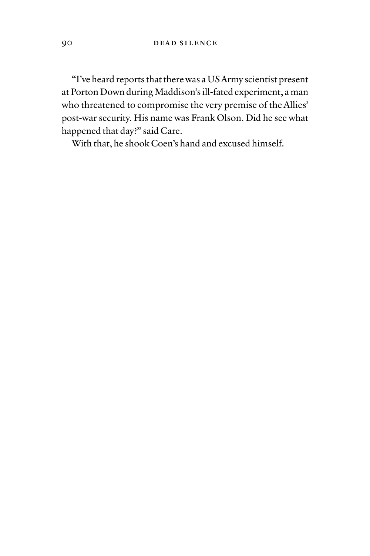"I've heard reports that there was a US Army scientist present at Porton Down during Maddison's ill-fated experiment, a man who threatened to compromise the very premise of the Allies' post-war security. His name was Frank Olson. Did he see what happened that day?" said Care.

With that, he shook Coen's hand and excused himself.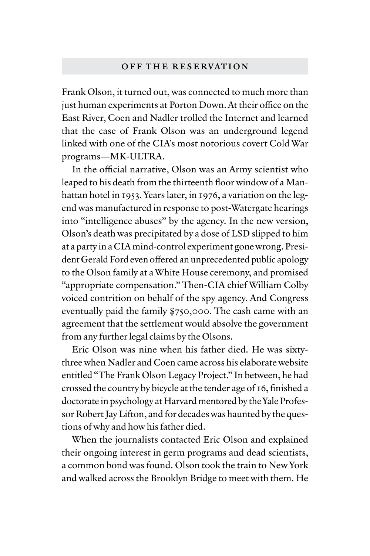### off the reservation

Frank Olson, it turned out, was connected to much more than just human experiments at Porton Down. At their office on the East River, Coen and Nadler trolled the Internet and learned that the case of Frank Olson was an underground legend linked with one of the CIA's most notorious covert Cold War programs—MK-ULTRA.

In the official narrative, Olson was an Army scientist who leaped to his death from the thirteenth floor window of a Manhattan hotel in 1953. Years later, in 1976, a variation on the legend was manufactured in response to post-Watergate hearings into "intelligence abuses" by the agency. In the new version, Olson's death was precipitated by a dose of LSD slipped to him at a party in a CIA mind-control experiment gone wrong. President Gerald Ford even offered an unprecedented public apology to the Olson family at a White House ceremony, and promised "appropriate compensation." Then-CIA chief William Colby voiced contrition on behalf of the spy agency. And Congress eventually paid the family \$750,000. The cash came with an agreement that the settlement would absolve the government from any further legal claims by the Olsons.

Eric Olson was nine when his father died. He was sixtythree when Nadler and Coen came across his elaborate website entitled "The Frank Olson Legacy Project." In between, he had crossed the country by bicycle at the tender age of 16, finished a doctorate in psychology at Harvard mentored by the Yale Professor Robert Jay Lifton, and for decades was haunted by the questions of why and how his father died.

When the journalists contacted Eric Olson and explained their ongoing interest in germ programs and dead scientists, a common bond was found. Olson took the train to New York and walked across the Brooklyn Bridge to meet with them. He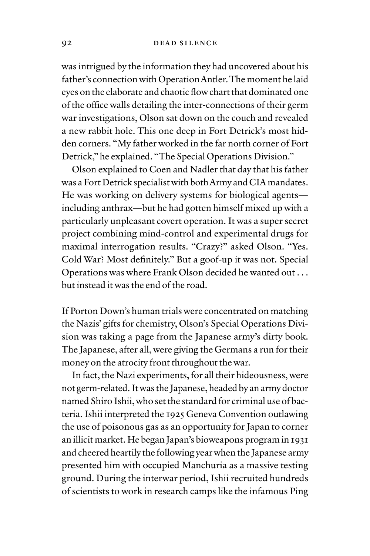was intrigued by the information they had uncovered about his father's connection with Operation Antler. The moment he laid eyes on the elaborate and chaotic flow chart that dominated one of the office walls detailing the inter-connections of their germ war investigations, Olson sat down on the couch and revealed a new rabbit hole. This one deep in Fort Detrick's most hidden corners. "My father worked in the far north corner of Fort Detrick," he explained. "The Special Operations Division."

Olson explained to Coen and Nadler that day that his father was a Fort Detrick specialist with both Army and CIA mandates. He was working on delivery systems for biological agents including anthrax—but he had gotten himself mixed up with a particularly unpleasant covert operation. It was a super secret project combining mind-control and experimental drugs for maximal interrogation results. "Crazy?" asked Olson. "Yes. Cold War? Most definitely." But a goof-up it was not. Special Operations was where Frank Olson decided he wanted out . . . but instead it was the end of the road.

If Porton Down's human trials were concentrated on matching the Nazis' gifts for chemistry, Olson's Special Operations Division was taking a page from the Japanese army's dirty book. The Japanese, after all, were giving the Germans a run for their money on the atrocity front throughout the war.

In fact, the Nazi experiments, for all their hideousness, were not germ-related. It was the Japanese, headed by an army doctor named Shiro Ishii, who set the standard for criminal use of bacteria. Ishii interpreted the 1925 Geneva Convention outlawing the use of poisonous gas as an opportunity for Japan to corner an illicit market. He began Japan's bioweapons program in 1931 and cheered heartily the following year when the Japanese army presented him with occupied Manchuria as a massive testing ground. During the interwar period, Ishii recruited hundreds of scientists to work in research camps like the infamous Ping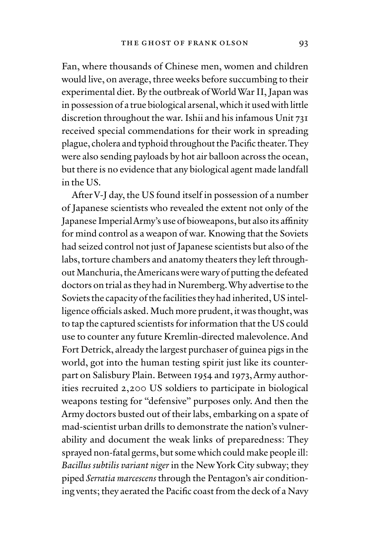Fan, where thousands of Chinese men, women and children would live, on average, three weeks before succumbing to their experimental diet. By the outbreak of World War II, Japan was in possession of a true biological arsenal, which it used with little discretion throughout the war. Ishii and his infamous Unit 731 received special commendations for their work in spreading plague, cholera and typhoid throughout the Pacific theater. They were also sending payloads by hot air balloon across the ocean, but there is no evidence that any biological agent made landfall in the US.

After V-J day, the US found itself in possession of a number of Japanese scientists who revealed the extent not only of the Japanese Imperial Army's use of bioweapons, but also its affinity for mind control as a weapon of war. Knowing that the Soviets had seized control not just of Japanese scientists but also of the labs, torture chambers and anatomy theaters they left throughout Manchuria, the Americans were wary of putting the defeated doctors on trial as they had in Nuremberg. Why advertise to the Soviets the capacity of the facilities they had inherited, US intelligence officials asked. Much more prudent, it was thought, was to tap the captured scientists for information that the US could use to counter any future Kremlin-directed malevolence. And Fort Detrick, already the largest purchaser of guinea pigs in the world, got into the human testing spirit just like its counterpart on Salisbury Plain. Between 1954 and 1973, Army authorities recruited 2,200 US soldiers to participate in biological weapons testing for "defensive" purposes only. And then the Army doctors busted out of their labs, embarking on a spate of mad-scientist urban drills to demonstrate the nation's vulnerability and document the weak links of preparedness: They sprayed non-fatal germs, but some which could make people ill: *Bacillus subtilis variant niger* in the New York City subway; they piped *Serratia marcescens* through the Pentagon's air conditioning vents; they aerated the Pacific coast from the deck of a Navy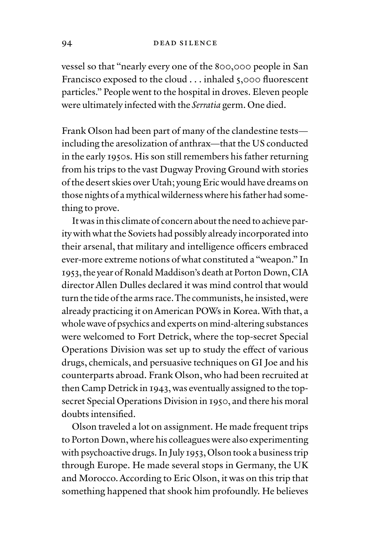vessel so that "nearly every one of the 800,000 people in San Francisco exposed to the cloud . . . inhaled 5,000 fluorescent particles." People went to the hospital in droves. Eleven people were ultimately infected with the *Serratia* germ. One died.

Frank Olson had been part of many of the clandestine tests including the aresolization of anthrax—that the US conducted in the early 1950s. His son still remembers his father returning from his trips to the vast Dugway Proving Ground with stories of the desert skies over Utah; young Eric would have dreams on those nights of a mythical wilderness where his father had something to prove.

It was in this climate of concern about the need to achieve parity with what the Soviets had possibly already incorporated into their arsenal, that military and intelligence officers embraced ever-more extreme notions of what constituted a "weapon." In 1953, the year of Ronald Maddison's death at Porton Down, CIA director Allen Dulles declared it was mind control that would turn the tide of the arms race. The communists, he insisted, were already practicing it on American POWs in Korea. With that, a whole wave of psychics and experts on mind-altering substances were welcomed to Fort Detrick, where the top-secret Special Operations Division was set up to study the effect of various drugs, chemicals, and persuasive techniques on GI Joe and his counterparts abroad. Frank Olson, who had been recruited at then Camp Detrick in 1943, was eventually assigned to the topsecret Special Operations Division in 1950, and there his moral doubts intensified.

Olson traveled a lot on assignment. He made frequent trips to Porton Down, where his colleagues were also experimenting with psychoactive drugs. In July 1953, Olson took a business trip through Europe. He made several stops in Germany, the UK and Morocco. According to Eric Olson, it was on this trip that something happened that shook him profoundly. He believes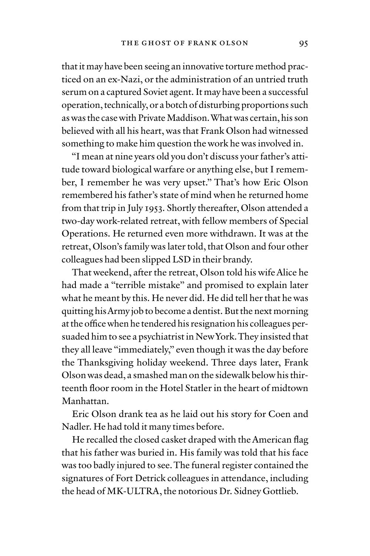that it may have been seeing an innovative torture method practiced on an ex-Nazi, or the administration of an untried truth serum on a captured Soviet agent. It may have been a successful operation, technically, or a botch of disturbing proportions such as was the case with Private Maddison. What was certain, his son believed with all his heart, was that Frank Olson had witnessed something to make him question the work he was involved in.

"I mean at nine years old you don't discuss your father's attitude toward biological warfare or anything else, but I remember, I remember he was very upset." That's how Eric Olson remembered his father's state of mind when he returned home from that trip in July 1953. Shortly thereafter, Olson attended a two-day work-related retreat, with fellow members of Special Operations. He returned even more withdrawn. It was at the retreat, Olson's family was later told, that Olson and four other colleagues had been slipped LSD in their brandy.

That weekend, after the retreat, Olson told his wife Alice he had made a "terrible mistake" and promised to explain later what he meant by this. He never did. He did tell her that he was quitting his Army job to become a dentist. But the next morning at the office when he tendered his resignation his colleagues persuaded him to see a psychiatrist in New York. They insisted that they all leave "immediately," even though it was the day before the Thanksgiving holiday weekend. Three days later, Frank Olson was dead, a smashed man on the sidewalk below his thirteenth floor room in the Hotel Statler in the heart of midtown Manhattan.

Eric Olson drank tea as he laid out his story for Coen and Nadler. He had told it many times before.

He recalled the closed casket draped with the American flag that his father was buried in. His family was told that his face was too badly injured to see. The funeral register contained the signatures of Fort Detrick colleagues in attendance, including the head of MK-ULTRA, the notorious Dr. Sidney Gottlieb.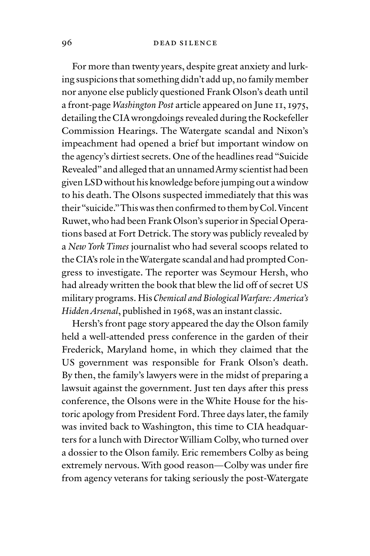For more than twenty years, despite great anxiety and lurking suspicions that something didn't add up, no family member nor anyone else publicly questioned Frank Olson's death until a front-page *Washington Post* article appeared on June 11, 1975, detailing the CIA wrongdoings revealed during the Rockefeller Commission Hearings. The Watergate scandal and Nixon's impeachment had opened a brief but important window on the agency's dirtiest secrets. One of the headlines read "Suicide Revealed" and alleged that an unnamed Army scientist had been given LSD without his knowledge before jumping out a window to his death. The Olsons suspected immediately that this was their "suicide." This was then confirmed to them by Col. Vincent Ruwet, who had been Frank Olson's superior in Special Operations based at Fort Detrick. The story was publicly revealed by a *New York Times* journalist who had several scoops related to the CIA's role in the Watergate scandal and had prompted Congress to investigate. The reporter was Seymour Hersh, who had already written the book that blew the lid off of secret US military programs. His *Chemical and Biological Warfare: America's Hidden Arsenal*, published in 1968, was an instant classic.

Hersh's front page story appeared the day the Olson family held a well-attended press conference in the garden of their Frederick, Maryland home, in which they claimed that the US government was responsible for Frank Olson's death. By then, the family's lawyers were in the midst of preparing a lawsuit against the government. Just ten days after this press conference, the Olsons were in the White House for the historic apology from President Ford. Three days later, the family was invited back to Washington, this time to CIA headquarters for a lunch with Director William Colby, who turned over a dossier to the Olson family. Eric remembers Colby as being extremely nervous. With good reason—Colby was under fire from agency veterans for taking seriously the post-Watergate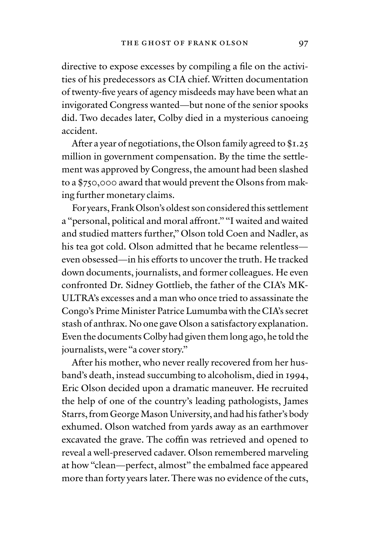directive to expose excesses by compiling a file on the activities of his predecessors as CIA chief. Written documentation of twenty-five years of agency misdeeds may have been what an invigorated Congress wanted—but none of the senior spooks did. Two decades later, Colby died in a mysterious canoeing accident.

After a year of negotiations, the Olson family agreed to \$1.25 million in government compensation. By the time the settlement was approved by Congress, the amount had been slashed to a \$750,000 award that would prevent the Olsons from making further monetary claims.

For years, Frank Olson's oldest son considered this settlement a "personal, political and moral affront." "I waited and waited and studied matters further," Olson told Coen and Nadler, as his tea got cold. Olson admitted that he became relentless even obsessed—in his efforts to uncover the truth. He tracked down documents, journalists, and former colleagues. He even confronted Dr. Sidney Gottlieb, the father of the CIA's MK-ULTRA's excesses and a man who once tried to assassinate the Congo's Prime Minister Patrice Lumumba with the CIA's secret stash of anthrax. No one gave Olson a satisfactory explanation. Even the documents Colby had given them long ago, he told the journalists, were "a cover story."

After his mother, who never really recovered from her husband's death, instead succumbing to alcoholism, died in 1994, Eric Olson decided upon a dramatic maneuver. He recruited the help of one of the country's leading pathologists, James Starrs, from George Mason University, and had his father's body exhumed. Olson watched from yards away as an earthmover excavated the grave. The coffin was retrieved and opened to reveal a well-preserved cadaver. Olson remembered marveling at how "clean—perfect, almost" the embalmed face appeared more than forty years later. There was no evidence of the cuts,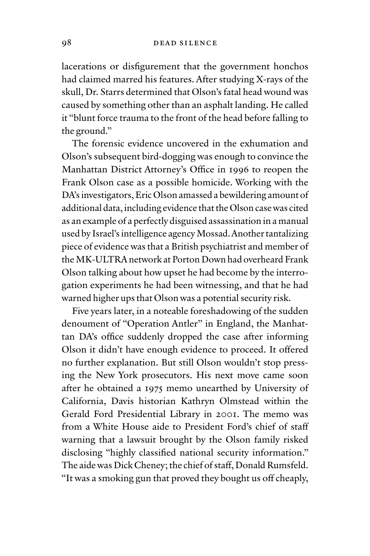lacerations or disfigurement that the government honchos had claimed marred his features. After studying X-rays of the skull, Dr. Starrs determined that Olson's fatal head wound was caused by something other than an asphalt landing. He called it "blunt force trauma to the front of the head before falling to the ground."

The forensic evidence uncovered in the exhumation and Olson's subsequent bird-dogging was enough to convince the Manhattan District Attorney's Office in 1996 to reopen the Frank Olson case as a possible homicide. Working with the DA's investigators, Eric Olson amassed a bewildering amount of additional data, including evidence that the Olson case was cited as an example of a perfectly disguised assassination in a manual used by Israel's intelligence agency Mossad. Another tantalizing piece of evidence was that a British psychiatrist and member of the MK-ULTRA network at Porton Down had overheard Frank Olson talking about how upset he had become by the interrogation experiments he had been witnessing, and that he had warned higher ups that Olson was a potential security risk.

Five years later, in a noteable foreshadowing of the sudden denoument of "Operation Antler" in England, the Manhattan DA's office suddenly dropped the case after informing Olson it didn't have enough evidence to proceed. It offered no further explanation. But still Olson wouldn't stop pressing the New York prosecutors. His next move came soon after he obtained a 1975 memo unearthed by University of California, Davis historian Kathryn Olmstead within the Gerald Ford Presidential Library in 2001. The memo was from a White House aide to President Ford's chief of staff warning that a lawsuit brought by the Olson family risked disclosing "highly classified national security information." The aide was Dick Cheney; the chief of staff, Donald Rumsfeld. "It was a smoking gun that proved they bought us off cheaply,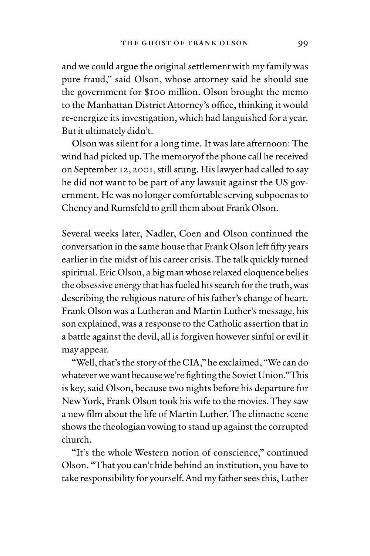and we could argue the original settlement with my family was pure fraud," said Olson, whose attorney said he should sue the government for \$100 million. Olson brought the memo to the Manhattan District Attorney's office, thinking it would re-energize its investigation, which had languished for a year. But it ultimately didn't.

Olson was silent for a long time. It was late afternoon: The wind had picked up. The memoryof the phone call he received on September 12, 2001, still stung. His lawyer had called to say he did not want to be part of any lawsuit against the US government. He was no longer comfortable serving subpoenas to Cheney and Rumsfeld to grill them about Frank Olson.

Several weeks later, Nadler, Coen and Olson continued the conversation in the same house that Frank Olson left fifty years earlier in the midst of his career crisis. The talk quickly turned spiritual. Eric Olson, a big man whose relaxed eloquence belies the obsessive energy that has fueled his search for the truth, was describing the religious nature of his father's change of heart. Frank Olson was a Lutheran and Martin Luther's message, his son explained, was a response to the Catholic assertion that in a battle against the devil, all is forgiven however sinful or evil it may appear.

"Well, that's the story of the CIA," he exclaimed, "We can do whatever we want because we're fighting the Soviet Union." This is key, said Olson, because two nights before his departure for New York, Frank Olson took his wife to the movies. They saw a new film about the life of Martin Luther. The climactic scene shows the theologian vowing to stand up against the corrupted church.

"It's the whole Western notion of conscience," continued Olson. "That you can't hide behind an institution, you have to take responsibility for yourself. And my father sees this, Luther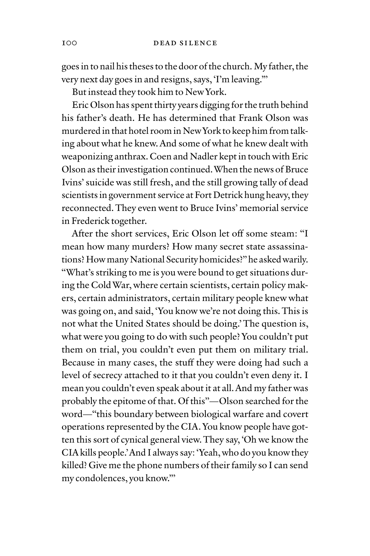goes in to nail his theses to the door of the church. My father, the very next day goes in and resigns, says, 'I'm leaving.'"

But instead they took him to New York.

Eric Olson has spent thirty years digging for the truth behind his father's death. He has determined that Frank Olson was murdered in that hotel room in New York to keep him from talking about what he knew. And some of what he knew dealt with weaponizing anthrax. Coen and Nadler kept in touch with Eric Olson as their investigation continued. When the news of Bruce Ivins' suicide was still fresh, and the still growing tally of dead scientists in government service at Fort Detrick hung heavy, they reconnected. They even went to Bruce Ivins' memorial service in Frederick together.

After the short services, Eric Olson let off some steam: "I mean how many murders? How many secret state assassinations? How many National Security homicides?" he asked warily. "What's striking to me is you were bound to get situations during the Cold War, where certain scientists, certain policy makers, certain administrators, certain military people knew what was going on, and said, 'You know we're not doing this. This is not what the United States should be doing.' The question is, what were you going to do with such people? You couldn't put them on trial, you couldn't even put them on military trial. Because in many cases, the stuff they were doing had such a level of secrecy attached to it that you couldn't even deny it. I mean you couldn't even speak about it at all. And my father was probably the epitome of that. Of this"—Olson searched for the word—"this boundary between biological warfare and covert operations represented by the CIA. You know people have gotten this sort of cynical general view. They say, 'Oh we know the CIA kills people.' And I always say: 'Yeah, who do you know they killed? Give me the phone numbers of their family so I can send my condolences, you know.'"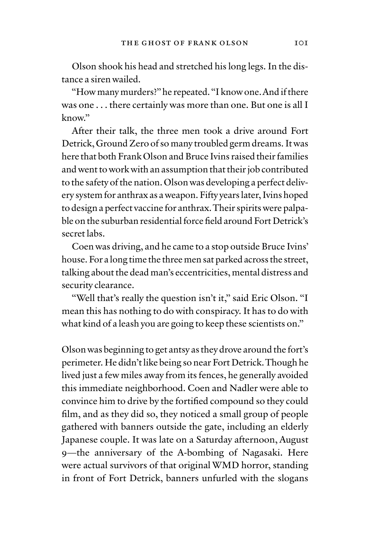Olson shook his head and stretched his long legs. In the distance a siren wailed.

"How many murders?" he repeated. "I know one. And if there was one . . . there certainly was more than one. But one is all I know."

After their talk, the three men took a drive around Fort Detrick, Ground Zero of so many troubled germ dreams. It was here that both Frank Olson and Bruce Ivins raised their families and went to work with an assumption that their job contributed to the safety of the nation. Olson was developing a perfect delivery system for anthrax as a weapon. Fifty years later, Ivins hoped to design a perfect vaccine for anthrax. Their spirits were palpable on the suburban residential force field around Fort Detrick's secret labs.

Coen was driving, and he came to a stop outside Bruce Ivins' house. For a long time the three men sat parked across the street, talking about the dead man's eccentricities, mental distress and security clearance.

"Well that's really the question isn't it," said Eric Olson. "I mean this has nothing to do with conspiracy. It has to do with what kind of a leash you are going to keep these scientists on."

Olson was beginning to get antsy as they drove around the fort's perimeter. He didn't like being so near Fort Detrick. Though he lived just a few miles away from its fences, he generally avoided this immediate neighborhood. Coen and Nadler were able to convince him to drive by the fortified compound so they could film, and as they did so, they noticed a small group of people gathered with banners outside the gate, including an elderly Japanese couple. It was late on a Saturday afternoon, August 9—the anniversary of the A-bombing of Nagasaki. Here were actual survivors of that original WMD horror, standing in front of Fort Detrick, banners unfurled with the slogans